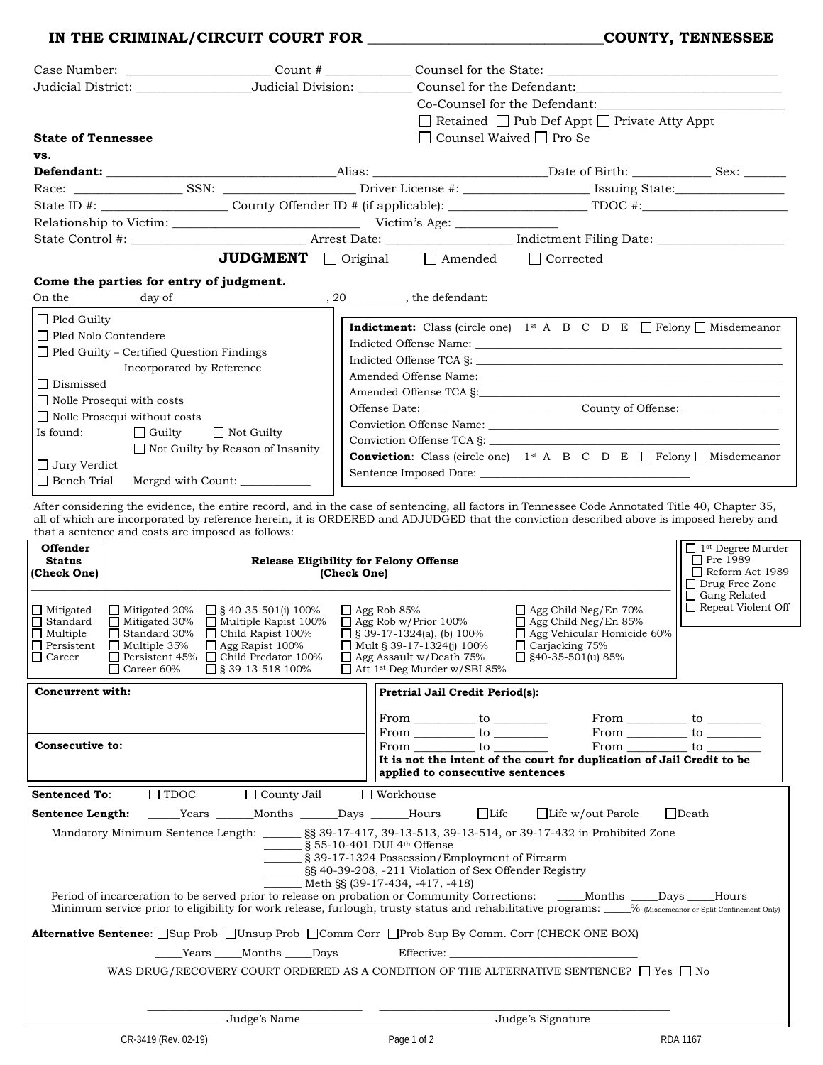## **IN THE CRIMINAL/CIRCUIT COURT FOR \_\_\_\_\_\_\_\_\_\_\_\_\_\_\_\_\_\_\_\_\_\_\_\_\_\_\_\_\_\_\_\_COUNTY, TENNESSEE**

|                                                  |                                                                                                        | Count #                                       |                                                                                                                                                        |  |  |  |
|--------------------------------------------------|--------------------------------------------------------------------------------------------------------|-----------------------------------------------|--------------------------------------------------------------------------------------------------------------------------------------------------------|--|--|--|
|                                                  |                                                                                                        |                                               | Counsel for the Defendant:                                                                                                                             |  |  |  |
|                                                  |                                                                                                        |                                               | Co-Counsel for the Defendant:                                                                                                                          |  |  |  |
|                                                  |                                                                                                        |                                               | $\Box$ Retained $\Box$ Pub Def Appt $\Box$ Private Atty Appt                                                                                           |  |  |  |
| <b>State of Tennessee</b>                        |                                                                                                        |                                               | $\Box$ Counsel Waived $\Box$ Pro Se                                                                                                                    |  |  |  |
| VS.                                              |                                                                                                        |                                               |                                                                                                                                                        |  |  |  |
|                                                  |                                                                                                        |                                               |                                                                                                                                                        |  |  |  |
|                                                  |                                                                                                        |                                               |                                                                                                                                                        |  |  |  |
|                                                  |                                                                                                        |                                               |                                                                                                                                                        |  |  |  |
|                                                  |                                                                                                        |                                               |                                                                                                                                                        |  |  |  |
|                                                  |                                                                                                        |                                               |                                                                                                                                                        |  |  |  |
|                                                  |                                                                                                        |                                               | JUDGMENT Original <b>I</b> Amended <b>I</b> Corrected                                                                                                  |  |  |  |
|                                                  | Come the parties for entry of judgment.                                                                |                                               |                                                                                                                                                        |  |  |  |
|                                                  |                                                                                                        |                                               |                                                                                                                                                        |  |  |  |
| $\Box$ Pled Guilty                               |                                                                                                        |                                               |                                                                                                                                                        |  |  |  |
| □ Pled Nolo Contendere                           |                                                                                                        |                                               | <b>Indictment:</b> Class (circle one) 1 <sup>st</sup> A B C D E $\Box$ Felony $\Box$ Misdemeanor                                                       |  |  |  |
| $\Box$ Pled Guilty – Certified Question Findings |                                                                                                        |                                               |                                                                                                                                                        |  |  |  |
|                                                  | Incorporated by Reference                                                                              |                                               |                                                                                                                                                        |  |  |  |
| □ Dismissed                                      |                                                                                                        |                                               |                                                                                                                                                        |  |  |  |
|                                                  | $\Box$ Nolle Prosequi with costs                                                                       |                                               |                                                                                                                                                        |  |  |  |
|                                                  | $\Box$ Nolle Prosequi without costs                                                                    |                                               |                                                                                                                                                        |  |  |  |
| Is found:                                        | $\Box$ Guilty<br>$\Box$ Not Guilty                                                                     |                                               | Conviction Offense TCA §:                                                                                                                              |  |  |  |
|                                                  | $\Box$ Not Guilty by Reason of Insanity                                                                |                                               | <b>Conviction:</b> Class (circle one) 1 <sup>st</sup> A B C D E $\Box$ Felony $\Box$ Misdemeanor                                                       |  |  |  |
| $\Box$ Jury Verdict<br>$\Box$ Bench Trial        | Merged with Count: ____________                                                                        |                                               |                                                                                                                                                        |  |  |  |
|                                                  |                                                                                                        |                                               |                                                                                                                                                        |  |  |  |
|                                                  |                                                                                                        |                                               | After considering the evidence, the entire record, and in the case of sentencing, all factors in Tennessee Code Annotated Title 40, Chapter 35,        |  |  |  |
|                                                  | that a sentence and costs are imposed as follows:                                                      |                                               | all of which are incorporated by reference herein, it is ORDERED and ADJUDGED that the conviction described above is imposed hereby and                |  |  |  |
| Offender                                         |                                                                                                        |                                               | $\Box$ 1 <sup>st</sup> Degree Murder                                                                                                                   |  |  |  |
| <b>Status</b>                                    |                                                                                                        | <b>Release Eligibility for Felony Offense</b> | □ Pre 1989                                                                                                                                             |  |  |  |
|                                                  |                                                                                                        |                                               |                                                                                                                                                        |  |  |  |
| (Check One)                                      |                                                                                                        | (Check One)                                   | Reform Act 1989<br>□ Drug Free Zone                                                                                                                    |  |  |  |
|                                                  |                                                                                                        |                                               | Gang Related                                                                                                                                           |  |  |  |
| $\Box$ Mitigated                                 | $\Box$ Mitigated 20%<br>$\Box$ § 40-35-501(i) 100%                                                     | $\Box$ Agg Rob 85%                            | Repeat Violent Off<br>$\Box$ Agg Child Neg/En 70%                                                                                                      |  |  |  |
| $\Box$ Standard<br>$\Box$ Multiple               | $\Box$ Mitigated 30%<br>$\Box$ Multiple Rapist 100%<br>$\Box$ Standard 30%<br>$\Box$ Child Rapist 100% | $\Box$ Agg Rob w/Prior 100%                   | $\Box$ Agg Child Neg/En 85%<br>$\Box$ § 39-17-1324(a), (b) 100%<br>$\Box$ Agg Vehicular Homicide 60%                                                   |  |  |  |
|                                                  | $\Box$ Multiple 35%<br>Agg Rapist 100%                                                                 |                                               | $\Box$ Mult § 39-17-1324(i) 100%<br>$\Box$ Carjacking 75%<br>$\Box$ Agg Assault w/Death 75%<br>$\Box$ §40-35-501(u) 85%                                |  |  |  |
| $\Box$ Persistent                                | Persistent 45% Child Predator 100%<br>$\Box$ Career 60%<br>$\Box$ § 39-13-518 100%                     |                                               | $\Box$ Att 1 <sup>st</sup> Deg Murder w/SBI 85%                                                                                                        |  |  |  |
| Concurrent with:                                 |                                                                                                        |                                               | Pretrial Jail Credit Period(s):                                                                                                                        |  |  |  |
|                                                  |                                                                                                        |                                               |                                                                                                                                                        |  |  |  |
|                                                  |                                                                                                        |                                               | From $\_\_\_\_$ to $\_\_\_\_\_\_$<br>From $\_\_\_\_$ to $\_\_\_\_\_\_\_$                                                                               |  |  |  |
| Consecutive to:                                  |                                                                                                        |                                               | $From \underline{\hspace{1cm}} to \underline{\hspace{1cm}}$                                                                                            |  |  |  |
|                                                  |                                                                                                        |                                               | $From \_\_\_to to \_\_\_$<br>From to<br>It is not the intent of the court for duplication of Jail Credit to be                                         |  |  |  |
|                                                  |                                                                                                        |                                               | applied to consecutive sentences                                                                                                                       |  |  |  |
| <b>Sentenced To:</b>                             | $\Box$ TDOC<br>$\Box$ County Jail                                                                      | $\Box$ Workhouse                              |                                                                                                                                                        |  |  |  |
| Sentence Length:                                 | ______Years _______Months _______Days ______Hours                                                      |                                               | $\Box$ Life<br>$\Box$ Life w/out Parole<br>$\Box$ Death                                                                                                |  |  |  |
|                                                  |                                                                                                        |                                               | Mandatory Minimum Sentence Length: 58 39-17-417, 39-13-513, 39-13-514, or 39-17-432 in Prohibited Zone                                                 |  |  |  |
|                                                  |                                                                                                        | S 55-10-401 DUI 4th Offense                   |                                                                                                                                                        |  |  |  |
|                                                  |                                                                                                        |                                               | ________ § 39-17-1324 Possession/Employment of Firearm                                                                                                 |  |  |  |
|                                                  |                                                                                                        | $Meth$ SS (39-17-434, -417, -418)             | SS 40-39-208, -211 Violation of Sex Offender Registry                                                                                                  |  |  |  |
|                                                  |                                                                                                        |                                               | Period of incarceration to be served prior to release on probation or Community Corrections: _____Months ____Days ____Hours                            |  |  |  |
|                                                  |                                                                                                        |                                               | Minimum service prior to eligibility for work release, furlough, trusty status and rehabilitative programs: 0% (Misdemeanor or Split Confinement Only) |  |  |  |
|                                                  |                                                                                                        |                                               | <b>Alternative Sentence</b> : Sup Prob □Unsup Prob □Comm Corr □Prob Sup By Comm. Corr (CHECK ONE BOX)                                                  |  |  |  |
|                                                  | Years Months Days                                                                                      |                                               | Effective:                                                                                                                                             |  |  |  |
|                                                  |                                                                                                        |                                               | WAS DRUG/RECOVERY COURT ORDERED AS A CONDITION OF THE ALTERNATIVE SENTENCE? $\Box$ Yes $\Box$ No                                                       |  |  |  |
|                                                  |                                                                                                        |                                               |                                                                                                                                                        |  |  |  |
|                                                  |                                                                                                        |                                               |                                                                                                                                                        |  |  |  |
|                                                  | Judge's Name<br>CR-3419 (Rev. 02-19)                                                                   |                                               | Judge's Signature                                                                                                                                      |  |  |  |